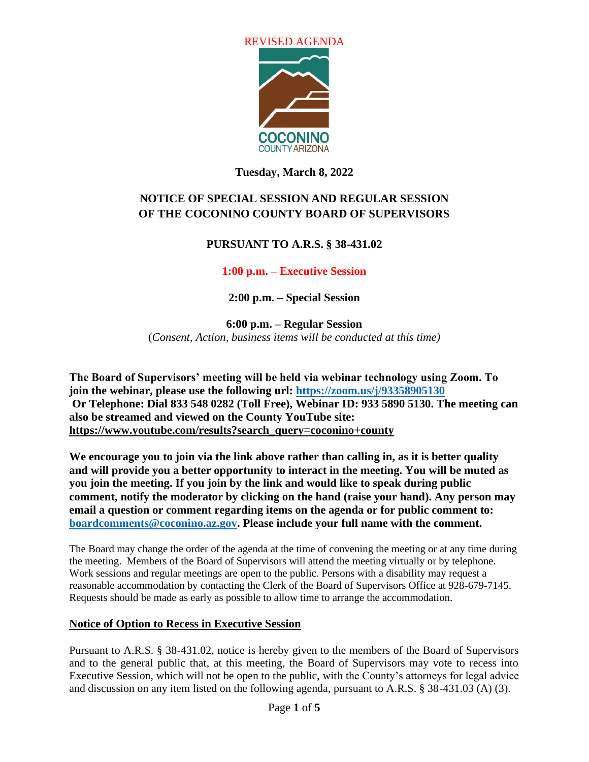

## **Tuesday, March 8, 2022**

# **NOTICE OF SPECIAL SESSION AND REGULAR SESSION OF THE COCONINO COUNTY BOARD OF SUPERVISORS**

## **PURSUANT TO A.R.S. § 38-431.02**

## **1:00 p.m. – Executive Session**

**2:00 p.m. – Special Session**

**6:00 p.m. – Regular Session** (*Consent, Action, business items will be conducted at this time)*

**The Board of Supervisors' meeting will be held via webinar technology using Zoom. To join the webinar, please use the following url: <https://zoom.us/j/93358905130> Or Telephone: Dial 833 548 0282 (Toll Free), Webinar ID: 933 5890 5130. The meeting can also be streamed and viewed on the County YouTube site: [https://www.youtube.com/results?search\\_query=coconino+county](https://www.youtube.com/results?search_query=coconino+county)**

**We encourage you to join via the link above rather than calling in, as it is better quality and will provide you a better opportunity to interact in the meeting. You will be muted as you join the meeting. If you join by the link and would like to speak during public comment, notify the moderator by clicking on the hand (raise your hand). Any person may email a question or comment regarding items on the agenda or for public comment to: [boardcomments@coconino.az.gov.](mailto:boardcomments@coconino.az.gov) Please include your full name with the comment.** 

The Board may change the order of the agenda at the time of convening the meeting or at any time during the meeting. Members of the Board of Supervisors will attend the meeting virtually or by telephone. Work sessions and regular meetings are open to the public. Persons with a disability may request a reasonable accommodation by contacting the Clerk of the Board of Supervisors Office at 928-679-7145. Requests should be made as early as possible to allow time to arrange the accommodation.

## **Notice of Option to Recess in Executive Session**

Pursuant to A.R.S. § 38-431.02, notice is hereby given to the members of the Board of Supervisors and to the general public that, at this meeting, the Board of Supervisors may vote to recess into Executive Session, which will not be open to the public, with the County's attorneys for legal advice and discussion on any item listed on the following agenda, pursuant to A.R.S. § 38-431.03 (A) (3).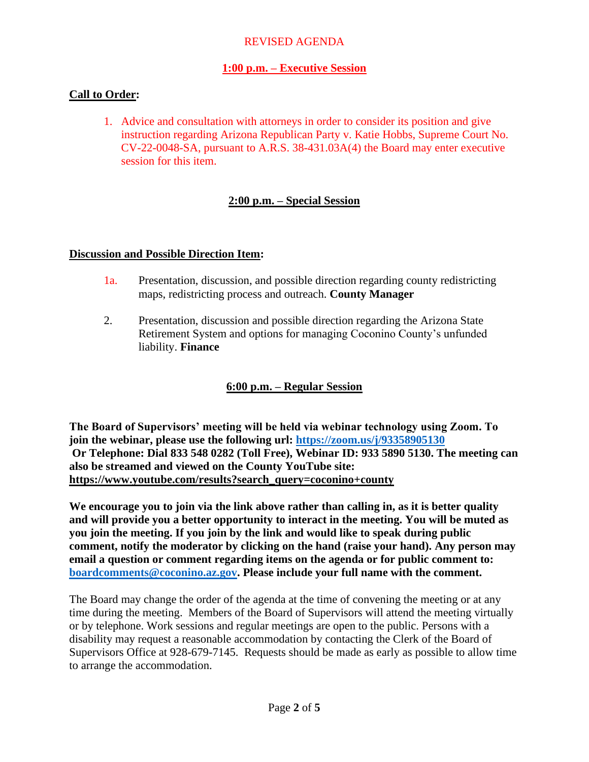## **1:00 p.m. – Executive Session**

## **Call to Order:**

1. Advice and consultation with attorneys in order to consider its position and give instruction regarding Arizona Republican Party v. Katie Hobbs, Supreme Court No. CV-22-0048-SA, pursuant to A.R.S. 38-431.03A(4) the Board may enter executive session for this item.

## **2:00 p.m. – Special Session**

### **Discussion and Possible Direction Item:**

- 1a. Presentation, discussion, and possible direction regarding county redistricting maps, redistricting process and outreach. **County Manager**
- 2. Presentation, discussion and possible direction regarding the Arizona State Retirement System and options for managing Coconino County's unfunded liability. **Finance**

## **6:00 p.m. – Regular Session**

**The Board of Supervisors' meeting will be held via webinar technology using Zoom. To join the webinar, please use the following url: <https://zoom.us/j/93358905130> Or Telephone: Dial 833 548 0282 (Toll Free), Webinar ID: 933 5890 5130. The meeting can also be streamed and viewed on the County YouTube site: [https://www.youtube.com/results?search\\_query=coconino+county](https://www.youtube.com/results?search_query=coconino+county)**

**We encourage you to join via the link above rather than calling in, as it is better quality and will provide you a better opportunity to interact in the meeting. You will be muted as you join the meeting. If you join by the link and would like to speak during public comment, notify the moderator by clicking on the hand (raise your hand). Any person may email a question or comment regarding items on the agenda or for public comment to: [boardcomments@coconino.az.gov.](mailto:boardcomments@coconino.az.gov) Please include your full name with the comment.** 

The Board may change the order of the agenda at the time of convening the meeting or at any time during the meeting. Members of the Board of Supervisors will attend the meeting virtually or by telephone. Work sessions and regular meetings are open to the public. Persons with a disability may request a reasonable accommodation by contacting the Clerk of the Board of Supervisors Office at 928-679-7145. Requests should be made as early as possible to allow time to arrange the accommodation.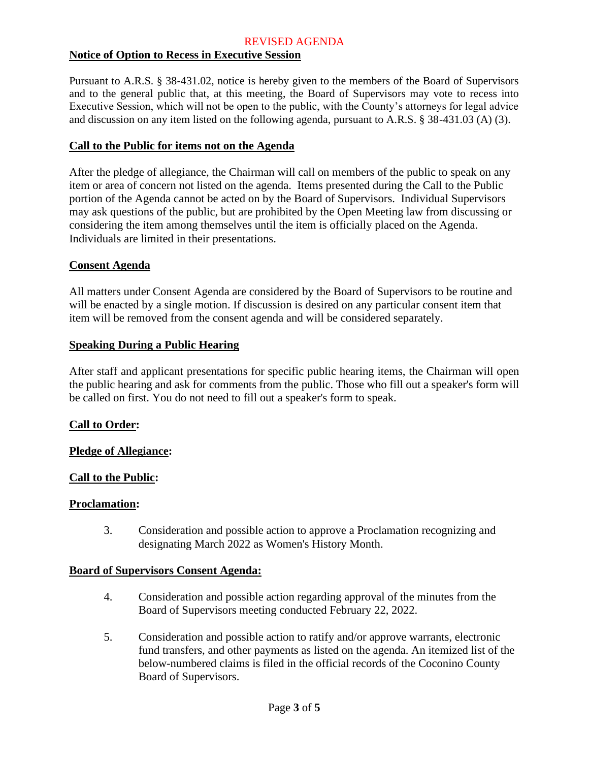## **Notice of Option to Recess in Executive Session**

Pursuant to A.R.S. § 38-431.02, notice is hereby given to the members of the Board of Supervisors and to the general public that, at this meeting, the Board of Supervisors may vote to recess into Executive Session, which will not be open to the public, with the County's attorneys for legal advice and discussion on any item listed on the following agenda, pursuant to A.R.S. § 38-431.03 (A) (3).

### **Call to the Public for items not on the Agenda**

After the pledge of allegiance, the Chairman will call on members of the public to speak on any item or area of concern not listed on the agenda. Items presented during the Call to the Public portion of the Agenda cannot be acted on by the Board of Supervisors. Individual Supervisors may ask questions of the public, but are prohibited by the Open Meeting law from discussing or considering the item among themselves until the item is officially placed on the Agenda. Individuals are limited in their presentations.

### **Consent Agenda**

All matters under Consent Agenda are considered by the Board of Supervisors to be routine and will be enacted by a single motion. If discussion is desired on any particular consent item that item will be removed from the consent agenda and will be considered separately.

### **Speaking During a Public Hearing**

After staff and applicant presentations for specific public hearing items, the Chairman will open the public hearing and ask for comments from the public. Those who fill out a speaker's form will be called on first. You do not need to fill out a speaker's form to speak.

### **Call to Order:**

### **Pledge of Allegiance:**

### **Call to the Public:**

### **Proclamation:**

3. Consideration and possible action to approve a Proclamation recognizing and designating March 2022 as Women's History Month.

### **Board of Supervisors Consent Agenda:**

- 4. Consideration and possible action regarding approval of the minutes from the Board of Supervisors meeting conducted February 22, 2022.
- 5. Consideration and possible action to ratify and/or approve warrants, electronic fund transfers, and other payments as listed on the agenda. An itemized list of the below-numbered claims is filed in the official records of the Coconino County Board of Supervisors.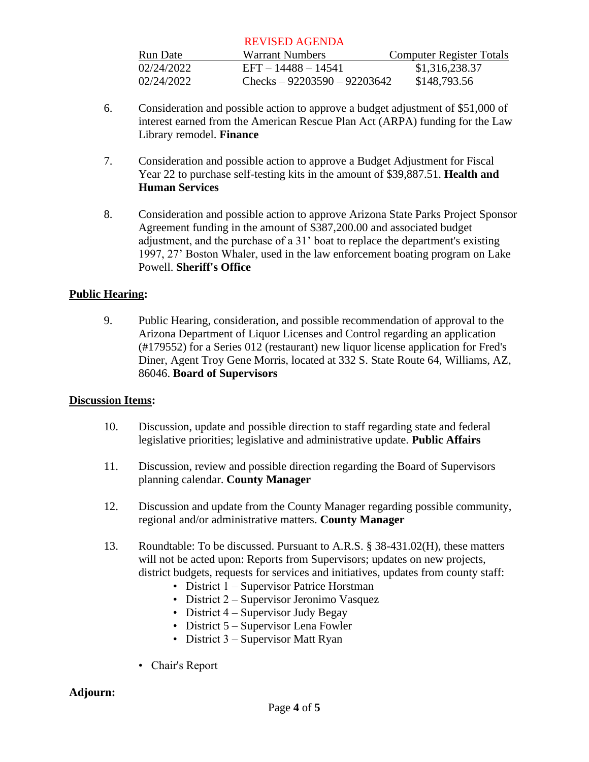| Run Date   | Warrant Numbers                | Computer Register Totals |
|------------|--------------------------------|--------------------------|
| 02/24/2022 | EFT - 14488 - 14541            | \$1,316,238.37           |
| 02/24/2022 | Checks – $92203590 - 92203642$ | \$148,793.56             |

- 6. Consideration and possible action to approve a budget adjustment of \$51,000 of interest earned from the American Rescue Plan Act (ARPA) funding for the Law Library remodel. **Finance**
- 7. Consideration and possible action to approve a Budget Adjustment for Fiscal Year 22 to purchase self-testing kits in the amount of \$39,887.51. **Health and Human Services**
- 8. Consideration and possible action to approve Arizona State Parks Project Sponsor Agreement funding in the amount of \$387,200.00 and associated budget adjustment, and the purchase of a 31' boat to replace the department's existing 1997, 27' Boston Whaler, used in the law enforcement boating program on Lake Powell. **Sheriff's Office**

### **Public Hearing:**

9. Public Hearing, consideration, and possible recommendation of approval to the Arizona Department of Liquor Licenses and Control regarding an application (#179552) for a Series 012 (restaurant) new liquor license application for Fred's Diner, Agent Troy Gene Morris, located at 332 S. State Route 64, Williams, AZ, 86046. **Board of Supervisors**

### **Discussion Items:**

- 10. Discussion, update and possible direction to staff regarding state and federal legislative priorities; legislative and administrative update. **Public Affairs**
- 11. Discussion, review and possible direction regarding the Board of Supervisors planning calendar. **County Manager**
- 12. Discussion and update from the County Manager regarding possible community, regional and/or administrative matters. **County Manager**
- 13. Roundtable: To be discussed. Pursuant to A.R.S. § 38-431.02(H), these matters will not be acted upon: Reports from Supervisors; updates on new projects, district budgets, requests for services and initiatives, updates from county staff:
	- District 1 Supervisor Patrice Horstman
	- District 2 Supervisor Jeronimo Vasquez
	- District 4 Supervisor Judy Begay
	- District 5 Supervisor Lena Fowler
	- District 3 Supervisor Matt Ryan
	- Chair's Report

### **Adjourn:**